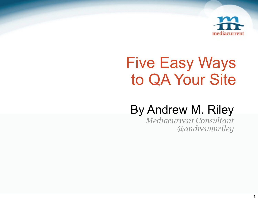

# Five Easy Ways to QA Your Site

#### By Andrew M. Riley

*Mediacurrent Consultant @andrewmriley*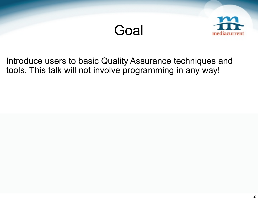



Introduce users to basic Quality Assurance techniques and tools. This talk will not involve programming in any way!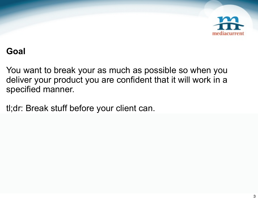

#### **Goal**

You want to break your as much as possible so when you deliver your product you are confident that it will work in a specified manner.

tl;dr: Break stuff before your client can.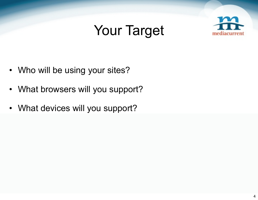### Your Target



- Who will be using your sites?
- What browsers will you support?
- What devices will you support?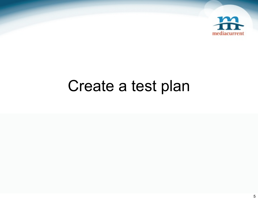

## Create a test plan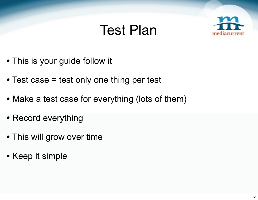#### Test Plan



- This is your guide follow it
- Test case = test only one thing per test
- Make a test case for everything (lots of them)
- Record everything
- This will grow over time
- Keep it simple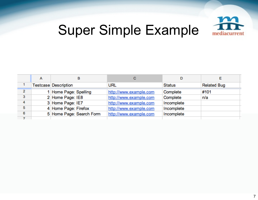

## Super Simple Example

|   | <b>Testcase Description</b> | <b>URL</b>             | <b>Status</b> | <b>Related Bug</b> |
|---|-----------------------------|------------------------|---------------|--------------------|
| 2 | 1 Home Page: Spelling       | http://www.example.com | Complete      | #101               |
| 3 | 2 Home Page: IE8            | http://www.example.com | Complete      | n/a                |
| 4 | 3 Home Page: IE7            | http://www.example.com | Incomplete    |                    |
| 5 | 4 Home Page: Firefox        | http://www.example.com | Incomplete    |                    |
| 6 | 5 Home Page: Search Form    | http://www.example.com | Incomplete    |                    |
|   |                             |                        |               |                    |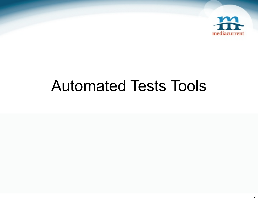

## Automated Tests Tools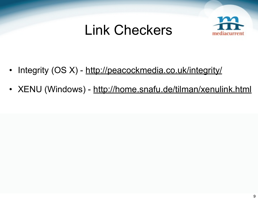#### Link Checkers



- Integrity (OS X) <http://peacockmedia.co.uk/integrity/>
- XENU (Windows) <http://home.snafu.de/tilman/xenulink.html>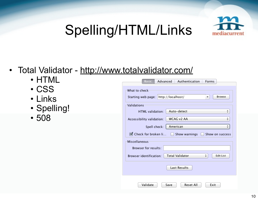## Spelling/HTML/Links



#### • Total Validator -<http://www.totalvalidator.com/>

- HTML
- CSS
- Links
- Spelling!
- 508

| Advanced<br>Authentication<br>Basic                      | Forms                 |
|----------------------------------------------------------|-----------------------|
| What to check                                            |                       |
| http://localhost/<br>Starting web page:                  | Browse<br>▼           |
| Validations                                              |                       |
| Auto-detect<br>HTML validation:                          | ÷                     |
| WCAG v2 AA<br>Accessibility validation:                  | ÷                     |
| American<br>Spell check:                                 | ÷۱                    |
| Check for broken li<br>Show warnings                     | Show on success       |
| Miscellaneous                                            |                       |
| <b>Browser for results:</b>                              |                       |
| <b>Total Validator</b><br><b>Browser identification:</b> | ÷<br><b>Edit List</b> |
| <b>Last Results</b>                                      |                       |
| Validate<br>Save<br>Reset All                            | Exit                  |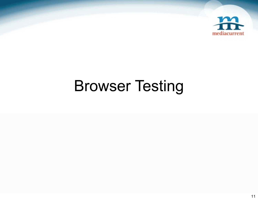

# Browser Testing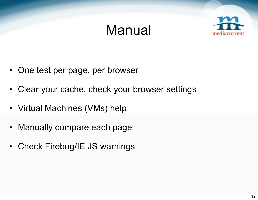### Manual



- One test per page, per browser
- Clear your cache, check your browser settings
- Virtual Machines (VMs) help
- Manually compare each page
- Check Firebug/IE JS warnings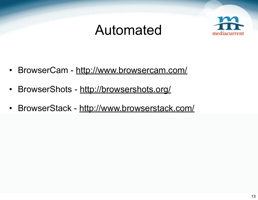#### Automated



- BrowserCam <http://www.browsercam.com/>
- BrowserShots <http://browsershots.org/>
- BrowserStack -<http://www.browserstack.com/>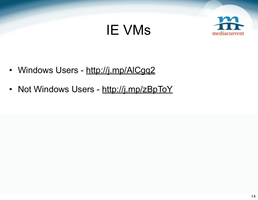### IE VMs



- Windows Users -<http://j.mp/AlCgq2>
- Not Windows Users -<http://j.mp/zBpToY>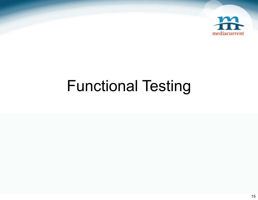

# Functional Testing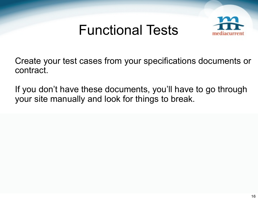#### Functional Tests



Create your test cases from your specifications documents or contract.

If you don't have these documents, you'll have to go through your site manually and look for things to break.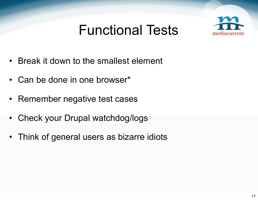### Functional Tests



- Break it down to the smallest element
- Can be done in one browser\*
- Remember negative test cases
- Check your Drupal watchdog/logs
- Think of general users as bizarre idiots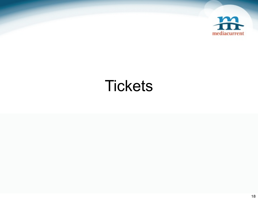

## **Tickets**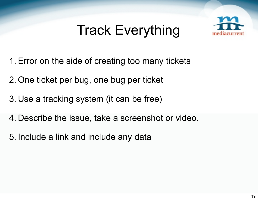## Track Everything



- 1.Error on the side of creating too many tickets
- 2. One ticket per bug, one bug per ticket
- 3. Use a tracking system (it can be free)
- 4. Describe the issue, take a screenshot or video.
- 5. Include a link and include any data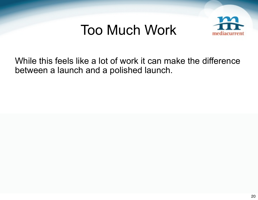#### Too Much Work



While this feels like a lot of work it can make the difference between a launch and a polished launch.